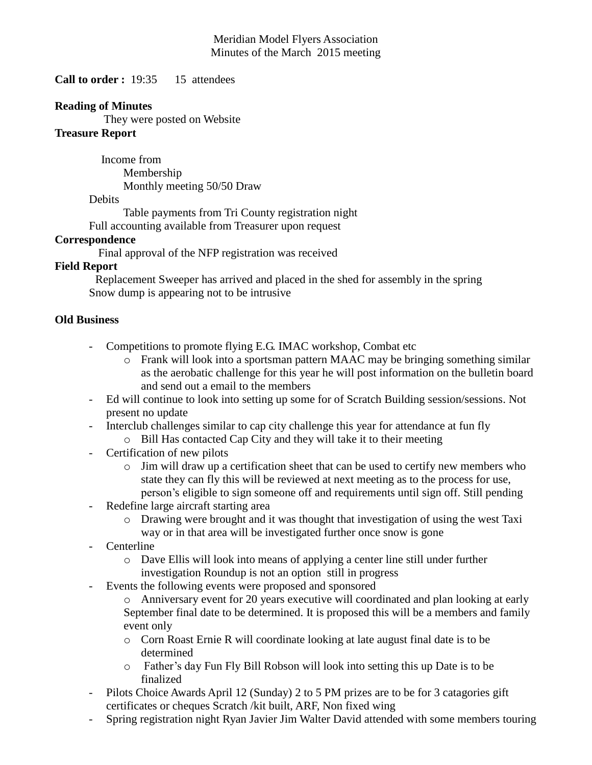#### Meridian Model Flyers Association Minutes of the March 2015 meeting

**Call to order :** 19:35 15 attendees

#### **Reading of Minutes**

They were posted on Website

## **Treasure Report**

 Income from Membership Monthly meeting 50/50 Draw

#### **Debits**

Table payments from Tri County registration night Full accounting available from Treasurer upon request

## **Correspondence**

Final approval of the NFP registration was received

## **Field Report**

 Replacement Sweeper has arrived and placed in the shed for assembly in the spring Snow dump is appearing not to be intrusive

## **Old Business**

- Competitions to promote flying E.G. IMAC workshop, Combat etc
	- o Frank will look into a sportsman pattern MAAC may be bringing something similar as the aerobatic challenge for this year he will post information on the bulletin board and send out a email to the members
- Ed will continue to look into setting up some for of Scratch Building session/sessions. Not present no update
- Interclub challenges similar to cap city challenge this year for attendance at fun fly
	- o Bill Has contacted Cap City and they will take it to their meeting
- Certification of new pilots
	- $\circ$  Jim will draw up a certification sheet that can be used to certify new members who state they can fly this will be reviewed at next meeting as to the process for use, person's eligible to sign someone off and requirements until sign off. Still pending
- Redefine large aircraft starting area
	- o Drawing were brought and it was thought that investigation of using the west Taxi way or in that area will be investigated further once snow is gone
- Centerline
	- o Dave Ellis will look into means of applying a center line still under further investigation Roundup is not an option still in progress
- Events the following events were proposed and sponsored
	- o Anniversary event for 20 years executive will coordinated and plan looking at early September final date to be determined. It is proposed this will be a members and family event only
	- o Corn Roast Ernie R will coordinate looking at late august final date is to be determined
	- o Father's day Fun Fly Bill Robson will look into setting this up Date is to be finalized
- Pilots Choice Awards April 12 (Sunday) 2 to 5 PM prizes are to be for 3 catagories gift certificates or cheques Scratch /kit built, ARF, Non fixed wing
- Spring registration night Ryan Javier Jim Walter David attended with some members touring